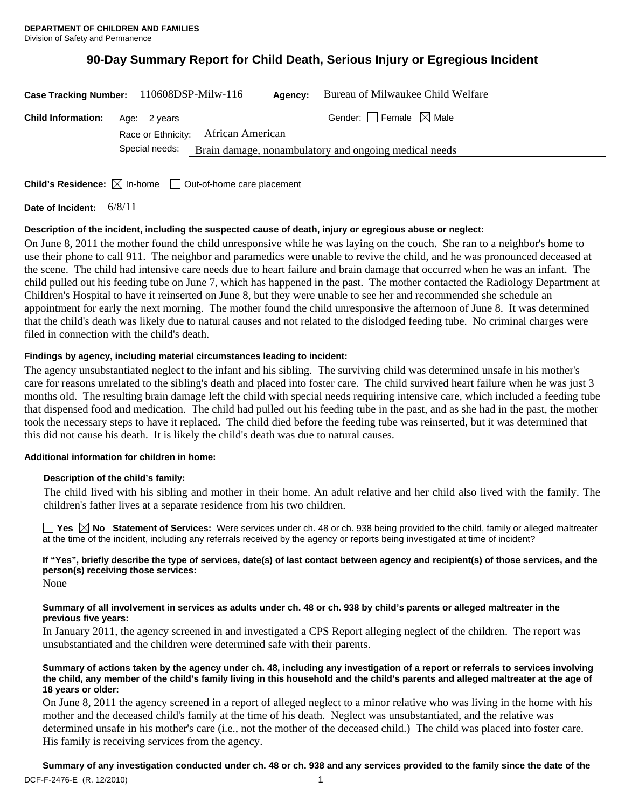# **90-Day Summary Report for Child Death, Serious Injury or Egregious Incident**

| Case Tracking Number: 110608DSP-Milw-116 |                                                                                                             | Agency: |  | Bureau of Milwaukee Child Welfare      |  |
|------------------------------------------|-------------------------------------------------------------------------------------------------------------|---------|--|----------------------------------------|--|
| <b>Child Information:</b> Age: 2 years   |                                                                                                             |         |  | Gender: $\Box$ Female $\boxtimes$ Male |  |
|                                          | Race or Ethnicity: African American<br>Special needs: Brain damage, nonambulatory and ongoing medical needs |         |  |                                        |  |

**Child's Residence:**  $\boxtimes$  In-home  $\Box$  Out-of-home care placement

**Date of Incident:** 6/8/11

## **Description of the incident, including the suspected cause of death, injury or egregious abuse or neglect:**

On June 8, 2011 the mother found the child unresponsive while he was laying on the couch. She ran to a neighbor's home to use their phone to call 911. The neighbor and paramedics were unable to revive the child, and he was pronounced deceased at the scene. The child had intensive care needs due to heart failure and brain damage that occurred when he was an infant. The child pulled out his feeding tube on June 7, which has happened in the past. The mother contacted the Radiology Department at Children's Hospital to have it reinserted on June 8, but they were unable to see her and recommended she schedule an appointment for early the next morning. The mother found the child unresponsive the afternoon of June 8. It was determined that the child's death was likely due to natural causes and not related to the dislodged feeding tube. No criminal charges were filed in connection with the child's death.

## **Findings by agency, including material circumstances leading to incident:**

The agency unsubstantiated neglect to the infant and his sibling. The surviving child was determined unsafe in his mother's care for reasons unrelated to the sibling's death and placed into foster care. The child survived heart failure when he was just 3 months old. The resulting brain damage left the child with special needs requiring intensive care, which included a feeding tube that dispensed food and medication. The child had pulled out his feeding tube in the past, and as she had in the past, the mother took the necessary steps to have it replaced. The child died before the feeding tube was reinserted, but it was determined that this did not cause his death. It is likely the child's death was due to natural causes.

### **Additional information for children in home:**

# **Description of the child's family:**

The child lived with his sibling and mother in their home. An adult relative and her child also lived with the family. The children's father lives at a separate residence from his two children.

■ Yes **No** Statement of Services: Were services under ch. 48 or ch. 938 being provided to the child, family or alleged maltreater at the time of the incident, including any referrals received by the agency or reports being investigated at time of incident?

# **If "Yes", briefly describe the type of services, date(s) of last contact between agency and recipient(s) of those services, and the person(s) receiving those services:**

None

### **Summary of all involvement in services as adults under ch. 48 or ch. 938 by child's parents or alleged maltreater in the previous five years:**

In January 2011, the agency screened in and investigated a CPS Report alleging neglect of the children. The report was unsubstantiated and the children were determined safe with their parents.

#### **Summary of actions taken by the agency under ch. 48, including any investigation of a report or referrals to services involving the child, any member of the child's family living in this household and the child's parents and alleged maltreater at the age of 18 years or older:**

On June 8, 2011 the agency screened in a report of alleged neglect to a minor relative who was living in the home with his mother and the deceased child's family at the time of his death. Neglect was unsubstantiated, and the relative was determined unsafe in his mother's care (i.e., not the mother of the deceased child.) The child was placed into foster care. His family is receiving services from the agency.

**Summary of any investigation conducted under ch. 48 or ch. 938 and any services provided to the family since the date of the**